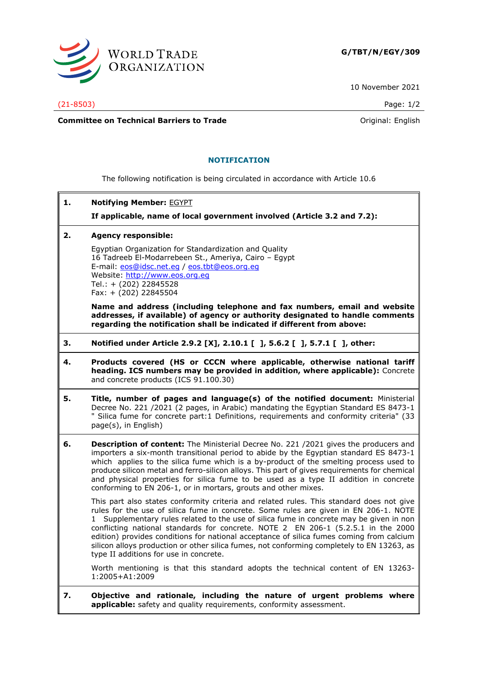

10 November 2021

(21-8503) Page: 1/2

**Committee on Technical Barriers to Trade Committee on Technical Barriers to Trade Original: English** 

## **NOTIFICATION**

The following notification is being circulated in accordance with Article 10.6

**1. Notifying Member:** EGYPT

**If applicable, name of local government involved (Article 3.2 and 7.2):**

**2. Agency responsible:**

Egyptian Organization for Standardization and Quality 16 Tadreeb El-Modarrebeen St., Ameriya, Cairo – Egypt E-mail: [eos@idsc.net.eg](mailto:eos@idsc.net.eg) / [eos.tbt@eos.org.eg](mailto:eos.tbt@eos.org.eg) Website: [http://www.eos.org.eg](http://www.eos.org.eg/) Tel.: + (202) 22845528 Fax: + (202) 22845504

**Name and address (including telephone and fax numbers, email and website addresses, if available) of agency or authority designated to handle comments regarding the notification shall be indicated if different from above:**

- **3. Notified under Article 2.9.2 [X], 2.10.1 [ ], 5.6.2 [ ], 5.7.1 [ ], other:**
- **4. Products covered (HS or CCCN where applicable, otherwise national tariff heading. ICS numbers may be provided in addition, where applicable):** Concrete and concrete products (ICS 91.100.30)
- **5. Title, number of pages and language(s) of the notified document:** Ministerial Decree No. 221 /2021 (2 pages, in Arabic) mandating the Egyptian Standard ES 8473-1 " Silica fume for concrete part:1 Definitions, requirements and conformity criteria" (33 page(s), in English)
- **6. Description of content:** The Ministerial Decree No. 221 /2021 gives the producers and importers a six-month transitional period to abide by the Egyptian standard ES 8473-1 which applies to the silica fume which is a by-product of the smelting process used to produce silicon metal and ferro-silicon alloys. This part of gives requirements for chemical and physical properties for silica fume to be used as a type II addition in concrete conforming to EN 206-1, or in mortars, grouts and other mixes.

This part also states conformity criteria and related rules. This standard does not give rules for the use of silica fume in concrete. Some rules are given in EN 206-1. NOTE 1 Supplementary rules related to the use of silica fume in concrete may be given in non conflicting national standards for concrete. NOTE 2 EN 206-1 (5.2.5.1 in the 2000 edition) provides conditions for national acceptance of silica fumes coming from calcium silicon alloys production or other silica fumes, not conforming completely to EN 13263, as type II additions for use in concrete.

Worth mentioning is that this standard adopts the technical content of EN 13263- 1:2005+A1:2009

**7. Objective and rationale, including the nature of urgent problems where applicable:** safety and quality requirements, conformity assessment.